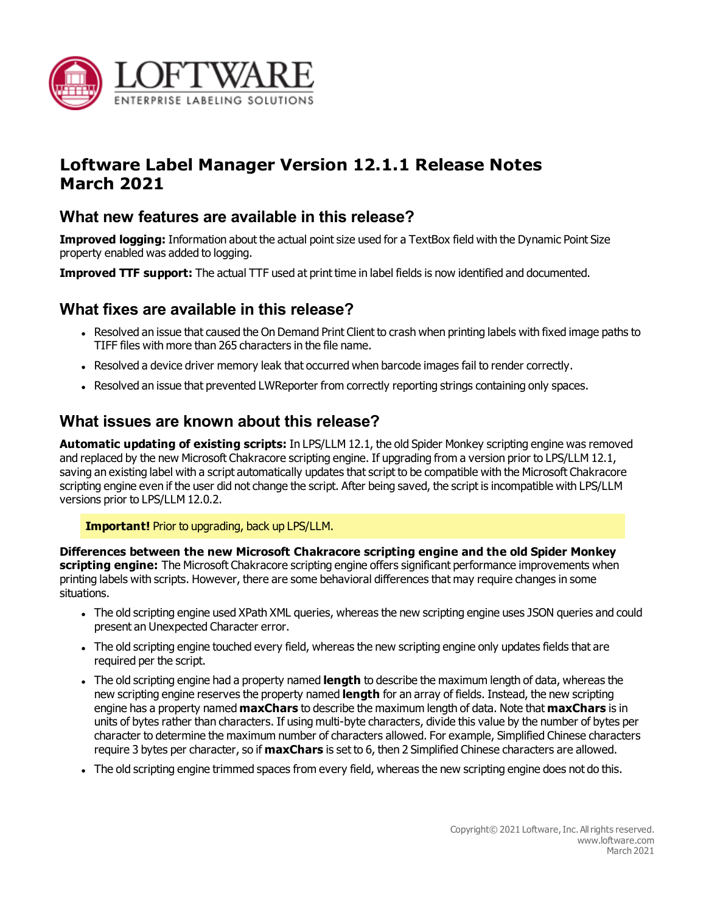

# **Loftware Label Manager Version 12.1.1 Release Notes March 2021**

## **What new features are available in this release?**

**Improved logging:** Information about the actual point size used for a TextBox field with the Dynamic Point Size property enabled was added to logging.

**Improved TTF support:** The actual TTF used at print time in label fields is now identified and documented.

### **What fixes are available in this release?**

- Resolved an issue that caused the On Demand Print Client to crash when printing labels with fixed image paths to TIFF files with more than 265 characters in the file name.
- Resolved a device driver memory leak that occurred when barcode images fail to render correctly.
- Resolved an issue that prevented LWReporter from correctly reporting strings containing only spaces.

### **What issues are known about this release?**

**Automatic updating of existing scripts:** In LPS/LLM 12.1, the old Spider Monkey scripting engine was removed and replaced by the new Microsoft Chakracore scripting engine. If upgrading from a version prior to LPS/LLM 12.1, saving an existing label with a script automatically updates that script to be compatible with the Microsoft Chakracore scripting engine even if the user did not change the script. After being saved, the script is incompatible with LPS/LLM versions prior to LPS/LLM 12.0.2.

#### **Important!** Prior to upgrading, back up LPS/LLM.

**Differences between the new Microsoft Chakracore scripting engine and the old Spider Monkey scripting engine:** The Microsoft Chakracore scripting engine offers significant performance improvements when printing labels with scripts. However, there are some behavioral differences that may require changes in some situations.

- The old scripting engine used XPath XML queries, whereas the new scripting engine uses JSON queries and could present an Unexpected Character error.
- The old scripting engine touched every field, whereas the new scripting engine only updates fields that are required per the script.
- <sup>l</sup> The old scripting engine had a property named **length** to describe the maximum length of data, whereas the new scripting engine reserves the property named **length** for an array of fields. Instead, the new scripting engine has a property named **maxChars** to describe the maximum length of data. Note that **maxChars** is in units of bytes rather than characters. If using multi-byte characters, divide this value by the number of bytes per character to determine the maximum number of characters allowed. For example, Simplified Chinese characters require 3 bytes per character, so if **maxChars** is set to 6, then 2 Simplified Chinese characters are allowed.
- The old scripting engine trimmed spaces from every field, whereas the new scripting engine does not do this.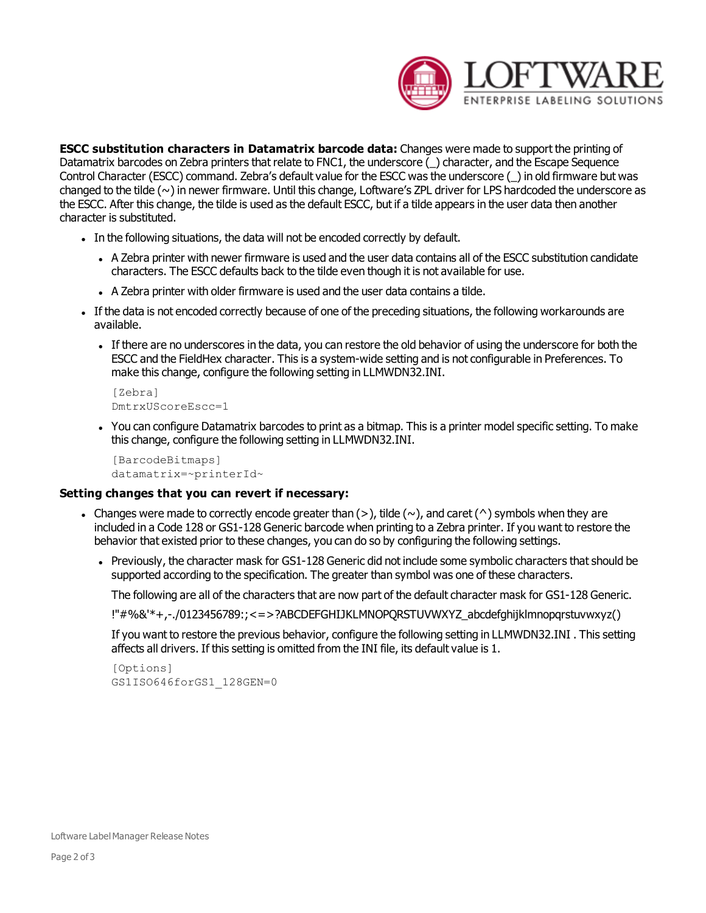

**ESCC substitution characters in Datamatrix barcode data:** Changes were made to support the printing of Datamatrix barcodes on Zebra printers that relate to FNC1, the underscore () character, and the Escape Sequence Control Character (ESCC) command. Zebra's default value for the ESCC was the underscore (\_) in old firmware but was changed to the tilde (~) in newer firmware. Until this change, Loftware's ZPL driver for LPS hardcoded the underscore as the ESCC. After this change, the tilde is used as the default ESCC, but if a tilde appears in the user data then another character is substituted.

- In the following situations, the data will not be encoded correctly by default.
	- A Zebra printer with newer firmware is used and the user data contains all of the ESCC substitution candidate characters. The ESCC defaults back to the tilde even though it is not available for use.
	- A Zebra printer with older firmware is used and the user data contains a tilde.
- If the data is not encoded correctly because of one of the preceding situations, the following workarounds are available.
	- If there are no underscores in the data, you can restore the old behavior of using the underscore for both the ESCC and the FieldHex character. This is a system-wide setting and is not configurable in Preferences. To make this change, configure the following setting in LLMWDN32.INI.

```
[Zebra]
DmtrxUScoreEscc=1
```
• You can configure Datamatrix barcodes to print as a bitmap. This is a printer model specific setting. To make this change, configure the following setting in LLMWDN32.INI.

```
[BarcodeBitmaps]
datamatrix=~printerId~
```
#### **Setting changes that you can revert if necessary:**

- Changes were made to correctly encode greater than  $(>)$ , tilde  $(~)$ , and caret  $(^\wedge)$  symbols when they are included in a Code 128 or GS1-128 Generic barcode when printing to a Zebra printer. If you want to restore the behavior that existed prior to these changes, you can do so by configuring the following settings.
	- Previously, the character mask for GS1-128 Generic did not include some symbolic characters that should be supported according to the specification. The greater than symbol was one of these characters.

The following are all of the characters that are now part of the default character mask for GS1-128 Generic.

!"#%&'\*+,-./0123456789:;<=>?ABCDEFGHIJKLMNOPQRSTUVWXYZ\_abcdefghijklmnopqrstuvwxyz()

If you want to restore the previous behavior, configure the following setting in LLMWDN32.INI . This setting affects all drivers. If this setting is omitted from the INI file, its default value is 1.

```
[Options]
GS1ISO646forGS1_128GEN=0
```